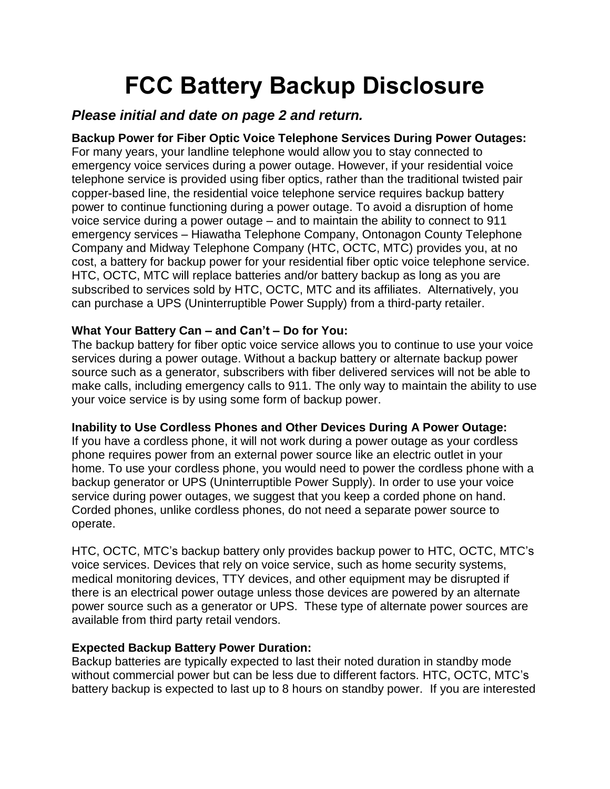# **FCC Battery Backup Disclosure**

# *Please initial and date on page 2 and return.*

**Backup Power for Fiber Optic Voice Telephone Services During Power Outages:** For many years, your landline telephone would allow you to stay connected to emergency voice services during a power outage. However, if your residential voice telephone service is provided using fiber optics, rather than the traditional twisted pair copper-based line, the residential voice telephone service requires backup battery power to continue functioning during a power outage. To avoid a disruption of home voice service during a power outage – and to maintain the ability to connect to 911 emergency services – Hiawatha Telephone Company, Ontonagon County Telephone Company and Midway Telephone Company (HTC, OCTC, MTC) provides you, at no cost, a battery for backup power for your residential fiber optic voice telephone service. HTC, OCTC, MTC will replace batteries and/or battery backup as long as you are subscribed to services sold by HTC, OCTC, MTC and its affiliates. Alternatively, you can purchase a UPS (Uninterruptible Power Supply) from a third-party retailer.

# **What Your Battery Can – and Can't – Do for You:**

The backup battery for fiber optic voice service allows you to continue to use your voice services during a power outage. Without a backup battery or alternate backup power source such as a generator, subscribers with fiber delivered services will not be able to make calls, including emergency calls to 911. The only way to maintain the ability to use your voice service is by using some form of backup power.

#### **Inability to Use Cordless Phones and Other Devices During A Power Outage:**

If you have a cordless phone, it will not work during a power outage as your cordless phone requires power from an external power source like an electric outlet in your home. To use your cordless phone, you would need to power the cordless phone with a backup generator or UPS (Uninterruptible Power Supply). In order to use your voice service during power outages, we suggest that you keep a corded phone on hand. Corded phones, unlike cordless phones, do not need a separate power source to operate.

HTC, OCTC, MTC's backup battery only provides backup power to HTC, OCTC, MTC's voice services. Devices that rely on voice service, such as home security systems, medical monitoring devices, TTY devices, and other equipment may be disrupted if there is an electrical power outage unless those devices are powered by an alternate power source such as a generator or UPS. These type of alternate power sources are available from third party retail vendors.

# **Expected Backup Battery Power Duration:**

Backup batteries are typically expected to last their noted duration in standby mode without commercial power but can be less due to different factors. HTC, OCTC, MTC's battery backup is expected to last up to 8 hours on standby power. If you are interested